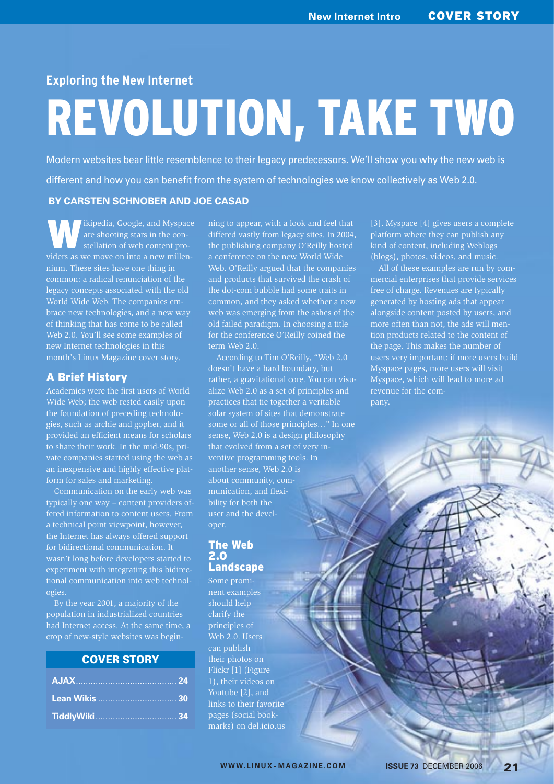# **Exploring the New Internet**

# REVOLUTION, TAKE TWO

Modern websites bear little resemblence to their legacy predecessors. We'll show you why the new web is different and how you can benefit from the system of technologies we know collectively as Web 2.0.

#### **BY CARSTEN SCHNOBER AND JOE CASAD**

Ikipedia, Google, and Myspace are shooting stars in the constellation of web content pronium. These sites have one thing in common: a radical renunciation of the legacy concepts associated with the old World Wide Web. The companies embrace new technologies, and a new way of thinking that has come to be called Web 2.0. You'll see some examples of new Internet technologies in this month's Linux Magazine cover story.

#### A Brief History

Academics were the first users of World Wide Web; the web rested easily upon the foundation of preceding technologies, such as archie and gopher, and it provided an efficient means for scholars to share their work. In the mid-90s, private companies started using the web as an inexpensive and highly effective platform for sales and marketing.

Communication on the early web was typically one way – content providers offered information to content users. From a technical point viewpoint, however, the Internet has always offered support for bidirectional communication. It wasn't long before developers started to experiment with integrating this bidirectional communication into web technologies.

By the year 2001, a majority of the population in industrialized countries had Internet access. At the same time, a crop of new-style websites was begin-

## COVER STORY

ning to appear, with a look and feel that differed vastly from legacy sites. In 2004, the publishing company O'Reilly hosted a conference on the new World Wide Web. O'Reilly argued that the companies and products that survived the crash of the dot-com bubble had some traits in common, and they asked whether a new web was emerging from the ashes of the old failed paradigm. In choosing a title for the conference O'Reilly coined the term Web 2.0.

According to Tim O'Reilly, "Web 2.0 doesn't have a hard boundary, but rather, a gravitational core. You can visualize Web 2.0 as a set of principles and practices that tie together a veritable solar system of sites that demonstrate some or all of those principles…" In one sense, Web 2.0 is a design philosophy that evolved from a set of very inventive programming tools. In another sense, Web 2.0 is munication, and flexibility for both the user and the developer.

#### The Web 2.0 Landscape

Some prominent examples should help clarify the principles of Web 2.0. Users can publish their photos on Flickr [1] (Figure 1), their videos on Youtube [2], and links to their favorite pages (social bookmarks) on del.icio.us [3]. Myspace [4] gives users a complete platform where they can publish any kind of content, including Weblogs (blogs), photos, videos, and music.

All of these examples are run by commercial enterprises that provide services free of charge. Revenues are typically generated by hosting ads that appear alongside content posted by users, and more often than not, the ads will mention products related to the content of the page. This makes the number of users very important: if more users build Myspace pages, more users will visit Myspace, which will lead to more ad pany.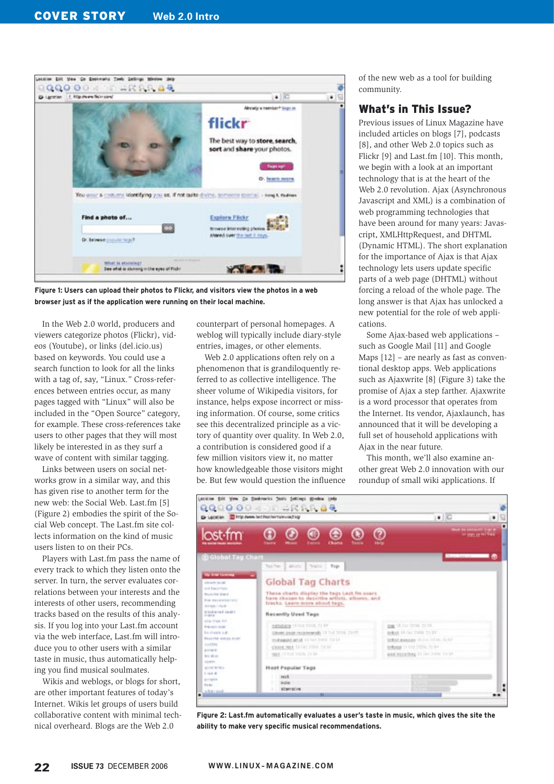

**Figure 1: Users can upload their photos to Flickr, and visitors view the photos in a web browser just as if the application were running on their local machine.**

In the Web 2.0 world, producers and viewers categorize photos (Flickr), videos (Youtube), or links (del.icio.us) based on keywords. You could use a search function to look for all the links with a tag of, say, "Linux." Cross-references between entries occur, as many pages tagged with "Linux" will also be included in the "Open Source" category, for example. These cross-references take users to other pages that they will most likely be interested in as they surf a wave of content with similar tagging.

Links between users on social networks grow in a similar way, and this has given rise to another term for the new web: the Social Web. Last.fm [5] (Figure 2) embodies the spirit of the Social Web concept. The Last.fm site collects information on the kind of music users listen to on their PCs.

Players with Last.fm pass the name of every track to which they listen onto the server. In turn, the server evaluates correlations between your interests and the interests of other users, recommending tracks based on the results of this analysis. If you log into your Last.fm account via the web interface, Last.fm will introduce you to other users with a similar taste in music, thus automatically helping you find musical soulmates.

Wikis and weblogs, or blogs for short, are other important features of today's Internet. Wikis let groups of users build collaborative content with minimal technical overheard. Blogs are the Web 2.0

counterpart of personal homepages. A weblog will typically include diary-style entries, images, or other elements.

Web 2.0 applications often rely on a phenomenon that is grandiloquently referred to as collective intelligence. The sheer volume of Wikipedia visitors, for instance, helps expose incorrect or missing information. Of course, some critics see this decentralized principle as a victory of quantity over quality. In Web 2.0, a contribution is considered good if a few million visitors view it, no matter how knowledgeable those visitors might be. But few would question the influence of the new web as a tool for building community.

### What's in This Issue?

Previous issues of Linux Magazine have included articles on blogs [7], podcasts [8], and other Web 2.0 topics such as Flickr [9] and Last.fm [10]. This month, we begin with a look at an important technology that is at the heart of the Web 2.0 revolution. Ajax (Asynchronous Javascript and XML) is a combination of web programming technologies that have been around for many years: Javascript, XMLHttpRequest, and DHTML (Dynamic HTML). The short explanation for the importance of Ajax is that Ajax technology lets users update specific parts of a web page (DHTML) without forcing a reload of the whole page. The long answer is that Ajax has unlocked a new potential for the role of web applications.

Some Ajax-based web applications – such as Google Mail [11] and Google Maps [12] – are nearly as fast as conventional desktop apps. Web applications such as Ajaxwrite [8] (Figure 3) take the promise of Ajax a step farther. Ajaxwrite is a word processor that operates from the Internet. Its vendor, Ajaxlaunch, has announced that it will be developing a full set of household applications with Ajax in the near future.

This month, we'll also examine another great Web 2.0 innovation with our roundup of small wiki applications. If



**Figure 2: Last.fm automatically evaluates a user's taste in music, which gives the site the ability to make very specific musical recommendations.**